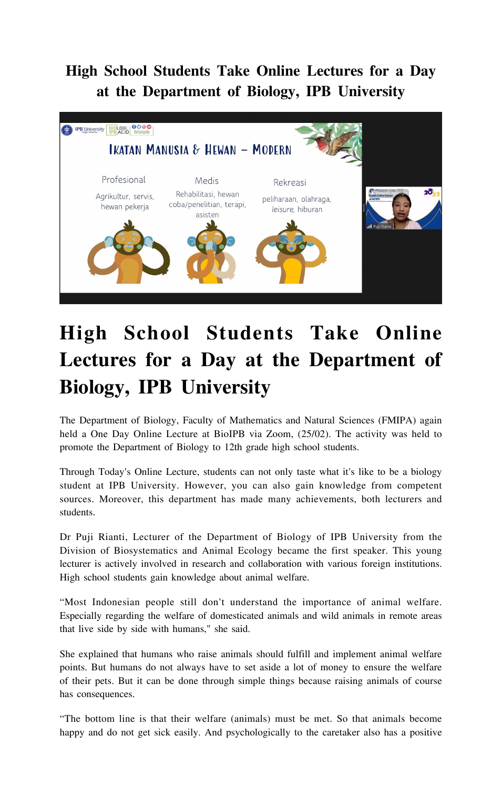## **High School Students Take Online Lectures for a Day at the Department of Biology, IPB University**



## **High School Students Take Online Lectures for a Day at the Department of Biology, IPB University**

The Department of Biology, Faculty of Mathematics and Natural Sciences (FMIPA) again held a One Day Online Lecture at BioIPB via Zoom, (25/02). The activity was held to promote the Department of Biology to 12th grade high school students.

Through Today's Online Lecture, students can not only taste what it's like to be a biology student at IPB University. However, you can also gain knowledge from competent sources. Moreover, this department has made many achievements, both lecturers and students.

Dr Puji Rianti, Lecturer of the Department of Biology of IPB University from the Division of Biosystematics and Animal Ecology became the first speaker. This young lecturer is actively involved in research and collaboration with various foreign institutions. High school students gain knowledge about animal welfare.

"Most Indonesian people still don't understand the importance of animal welfare. Especially regarding the welfare of domesticated animals and wild animals in remote areas that live side by side with humans," she said.

She explained that humans who raise animals should fulfill and implement animal welfare points. But humans do not always have to set aside a lot of money to ensure the welfare of their pets. But it can be done through simple things because raising animals of course has consequences.

"The bottom line is that their welfare (animals) must be met. So that animals become happy and do not get sick easily. And psychologically to the caretaker also has a positive